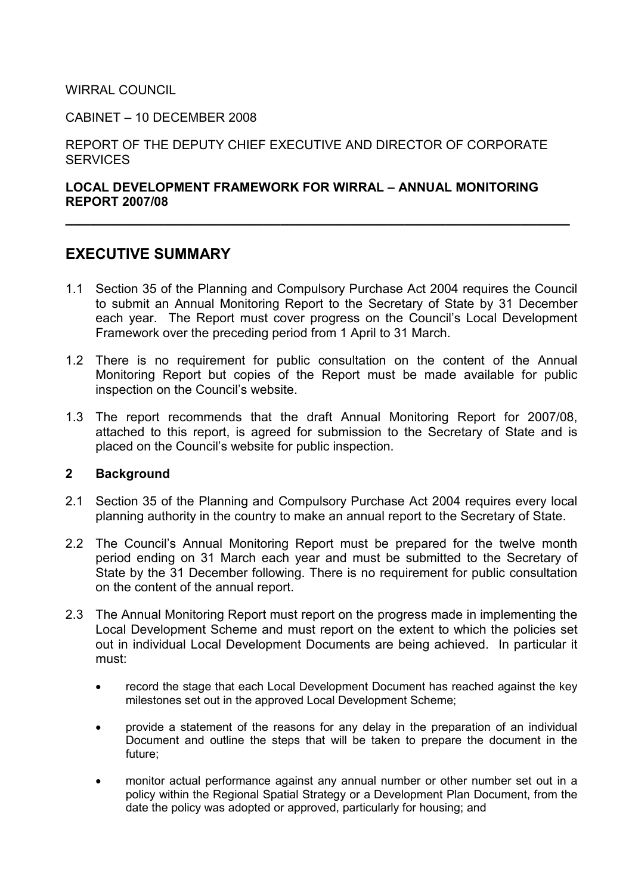WIRRAL COUNCIL

CABINET – 10 DECEMBER 2008

REPORT OF THE DEPUTY CHIEF EXECUTIVE AND DIRECTOR OF CORPORATE **SERVICES** 

## LOCAL DEVELOPMENT FRAMEWORK FOR WIRRAL – ANNUAL MONITORING REPORT 2007/08

\_\_\_\_\_\_\_\_\_\_\_\_\_\_\_\_\_\_\_\_\_\_\_\_\_\_\_\_\_\_\_\_\_\_\_\_\_\_\_\_\_\_\_\_\_\_\_\_\_\_\_\_\_\_\_\_\_\_\_\_\_

# EXECUTIVE SUMMARY

- 1.1 Section 35 of the Planning and Compulsory Purchase Act 2004 requires the Council to submit an Annual Monitoring Report to the Secretary of State by 31 December each year. The Report must cover progress on the Council's Local Development Framework over the preceding period from 1 April to 31 March.
- 1.2 There is no requirement for public consultation on the content of the Annual Monitoring Report but copies of the Report must be made available for public inspection on the Council's website.
- 1.3 The report recommends that the draft Annual Monitoring Report for 2007/08, attached to this report, is agreed for submission to the Secretary of State and is placed on the Council's website for public inspection.

#### 2 Background

- 2.1 Section 35 of the Planning and Compulsory Purchase Act 2004 requires every local planning authority in the country to make an annual report to the Secretary of State.
- 2.2 The Council's Annual Monitoring Report must be prepared for the twelve month period ending on 31 March each year and must be submitted to the Secretary of State by the 31 December following. There is no requirement for public consultation on the content of the annual report.
- 2.3 The Annual Monitoring Report must report on the progress made in implementing the Local Development Scheme and must report on the extent to which the policies set out in individual Local Development Documents are being achieved. In particular it must:
	- record the stage that each Local Development Document has reached against the key milestones set out in the approved Local Development Scheme;
	- provide a statement of the reasons for any delay in the preparation of an individual Document and outline the steps that will be taken to prepare the document in the future;
	- monitor actual performance against any annual number or other number set out in a policy within the Regional Spatial Strategy or a Development Plan Document, from the date the policy was adopted or approved, particularly for housing; and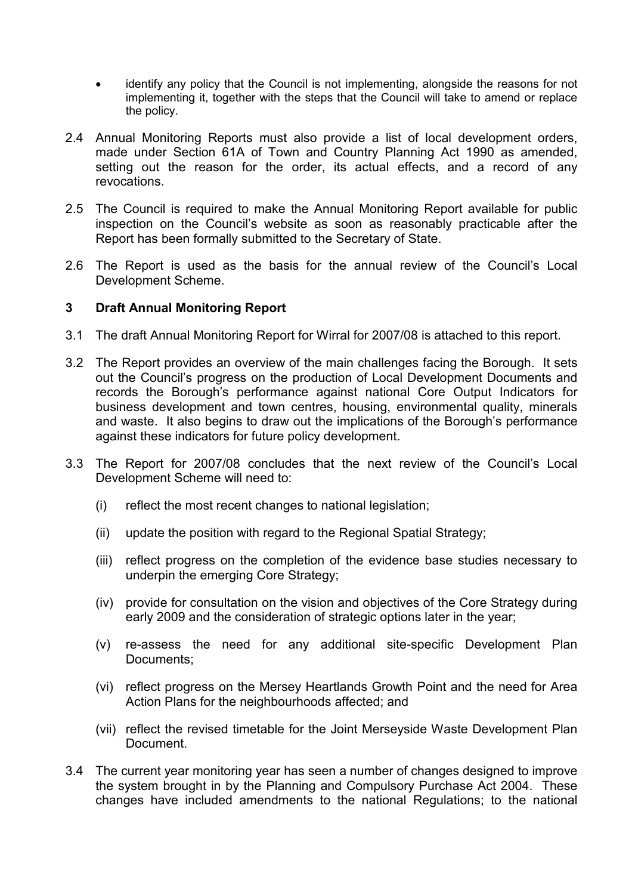- identify any policy that the Council is not implementing, alongside the reasons for not implementing it, together with the steps that the Council will take to amend or replace the policy.
- 2.4 Annual Monitoring Reports must also provide a list of local development orders, made under Section 61A of Town and Country Planning Act 1990 as amended, setting out the reason for the order, its actual effects, and a record of any revocations.
- 2.5 The Council is required to make the Annual Monitoring Report available for public inspection on the Council's website as soon as reasonably practicable after the Report has been formally submitted to the Secretary of State.
- 2.6 The Report is used as the basis for the annual review of the Council's Local Development Scheme.

#### 3 Draft Annual Monitoring Report

- 3.1 The draft Annual Monitoring Report for Wirral for 2007/08 is attached to this report.
- 3.2 The Report provides an overview of the main challenges facing the Borough. It sets out the Council's progress on the production of Local Development Documents and records the Borough's performance against national Core Output Indicators for business development and town centres, housing, environmental quality, minerals and waste. It also begins to draw out the implications of the Borough's performance against these indicators for future policy development.
- 3.3 The Report for 2007/08 concludes that the next review of the Council's Local Development Scheme will need to:
	- (i) reflect the most recent changes to national legislation;
	- (ii) update the position with regard to the Regional Spatial Strategy:
	- (iii) reflect progress on the completion of the evidence base studies necessary to underpin the emerging Core Strategy;
	- (iv) provide for consultation on the vision and objectives of the Core Strategy during early 2009 and the consideration of strategic options later in the year;
	- (v) re-assess the need for any additional site-specific Development Plan Documents;
	- (vi) reflect progress on the Mersey Heartlands Growth Point and the need for Area Action Plans for the neighbourhoods affected; and
	- (vii) reflect the revised timetable for the Joint Merseyside Waste Development Plan Document.
- 3.4 The current year monitoring year has seen a number of changes designed to improve the system brought in by the Planning and Compulsory Purchase Act 2004. These changes have included amendments to the national Regulations; to the national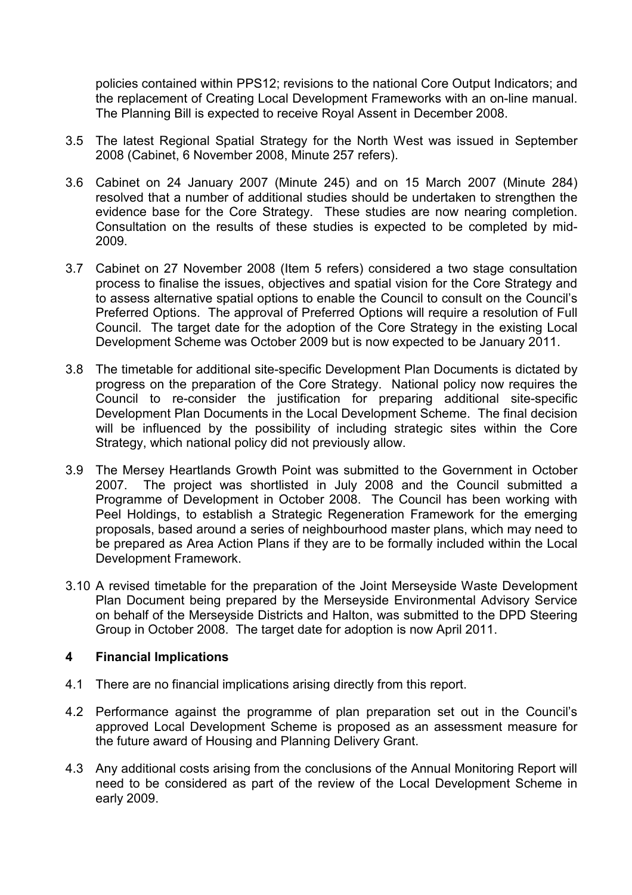policies contained within PPS12; revisions to the national Core Output Indicators; and the replacement of Creating Local Development Frameworks with an on-line manual. The Planning Bill is expected to receive Royal Assent in December 2008.

- 3.5 The latest Regional Spatial Strategy for the North West was issued in September 2008 (Cabinet, 6 November 2008, Minute 257 refers).
- 3.6 Cabinet on 24 January 2007 (Minute 245) and on 15 March 2007 (Minute 284) resolved that a number of additional studies should be undertaken to strengthen the evidence base for the Core Strategy. These studies are now nearing completion. Consultation on the results of these studies is expected to be completed by mid-2009.
- 3.7 Cabinet on 27 November 2008 (Item 5 refers) considered a two stage consultation process to finalise the issues, objectives and spatial vision for the Core Strategy and to assess alternative spatial options to enable the Council to consult on the Council's Preferred Options. The approval of Preferred Options will require a resolution of Full Council. The target date for the adoption of the Core Strategy in the existing Local Development Scheme was October 2009 but is now expected to be January 2011.
- 3.8 The timetable for additional site-specific Development Plan Documents is dictated by progress on the preparation of the Core Strategy. National policy now requires the Council to re-consider the justification for preparing additional site-specific Development Plan Documents in the Local Development Scheme. The final decision will be influenced by the possibility of including strategic sites within the Core Strategy, which national policy did not previously allow.
- 3.9 The Mersey Heartlands Growth Point was submitted to the Government in October 2007. The project was shortlisted in July 2008 and the Council submitted a Programme of Development in October 2008. The Council has been working with Peel Holdings, to establish a Strategic Regeneration Framework for the emerging proposals, based around a series of neighbourhood master plans, which may need to be prepared as Area Action Plans if they are to be formally included within the Local Development Framework.
- 3.10 A revised timetable for the preparation of the Joint Merseyside Waste Development Plan Document being prepared by the Merseyside Environmental Advisory Service on behalf of the Merseyside Districts and Halton, was submitted to the DPD Steering Group in October 2008. The target date for adoption is now April 2011.

#### 4 Financial Implications

- 4.1 There are no financial implications arising directly from this report.
- 4.2 Performance against the programme of plan preparation set out in the Council's approved Local Development Scheme is proposed as an assessment measure for the future award of Housing and Planning Delivery Grant.
- 4.3 Any additional costs arising from the conclusions of the Annual Monitoring Report will need to be considered as part of the review of the Local Development Scheme in early 2009.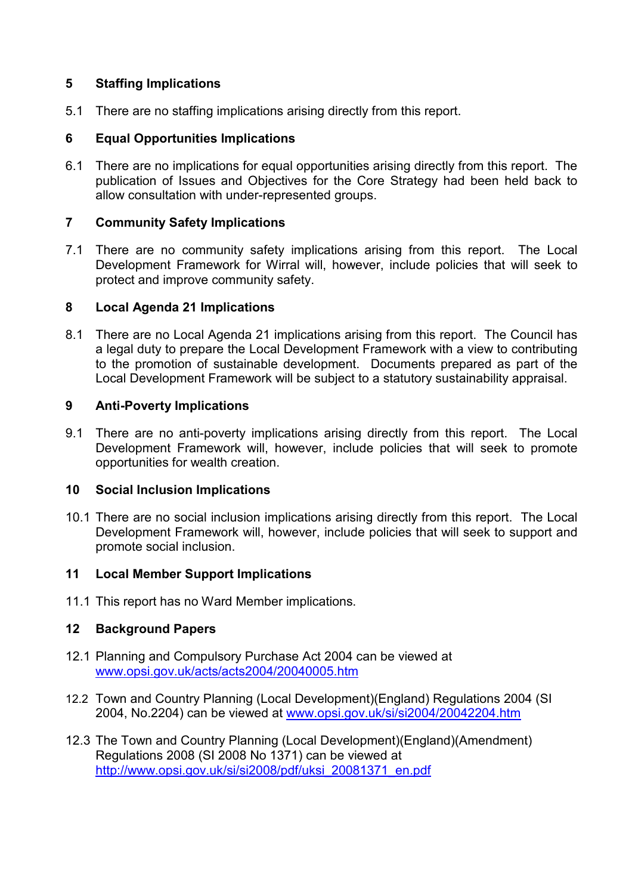## 5 Staffing Implications

5.1 There are no staffing implications arising directly from this report.

## 6 Equal Opportunities Implications

6.1 There are no implications for equal opportunities arising directly from this report. The publication of Issues and Objectives for the Core Strategy had been held back to allow consultation with under-represented groups.

## 7 Community Safety Implications

7.1 There are no community safety implications arising from this report. The Local Development Framework for Wirral will, however, include policies that will seek to protect and improve community safety.

## 8 Local Agenda 21 Implications

8.1 There are no Local Agenda 21 implications arising from this report. The Council has a legal duty to prepare the Local Development Framework with a view to contributing to the promotion of sustainable development. Documents prepared as part of the Local Development Framework will be subject to a statutory sustainability appraisal.

## 9 Anti-Poverty Implications

9.1 There are no anti-poverty implications arising directly from this report. The Local Development Framework will, however, include policies that will seek to promote opportunities for wealth creation.

#### 10 Social Inclusion Implications

10.1 There are no social inclusion implications arising directly from this report. The Local Development Framework will, however, include policies that will seek to support and promote social inclusion.

# 11 Local Member Support Implications

11.1 This report has no Ward Member implications.

# 12 Background Papers

- 12.1 Planning and Compulsory Purchase Act 2004 can be viewed at www.opsi.gov.uk/acts/acts2004/20040005.htm
- 12.2 Town and Country Planning (Local Development)(England) Regulations 2004 (SI 2004, No.2204) can be viewed at www.opsi.gov.uk/si/si2004/20042204.htm
- 12.3 The Town and Country Planning (Local Development)(England)(Amendment) Regulations 2008 (SI 2008 No 1371) can be viewed at http://www.opsi.gov.uk/si/si2008/pdf/uksi\_20081371\_en.pdf